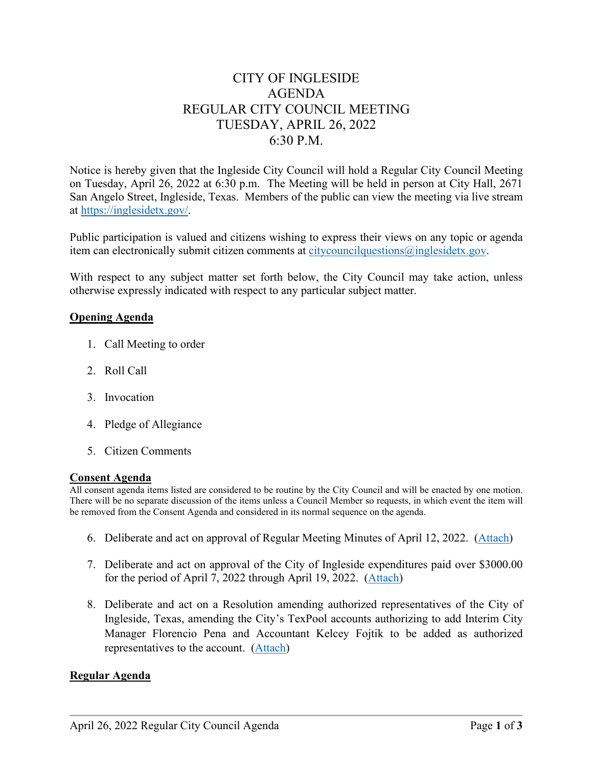# CITY OF INGLESIDE AGENDA REGULAR CITY COUNCIL MEETING TUESDAY, APRIL 26, 2022 6:30 P.M.

Notice is hereby given that the Ingleside City Council will hold a Regular City Council Meeting on Tuesday, April 26, 2022 at 6:30 p.m. The Meeting will be held in person at City Hall, 2671 San Angelo Street, Ingleside, Texas. Members of the public can view the meeting via live stream at [https://inglesidetx.gov/.](https://inglesidetx.gov/)

Public participation is valued and citizens wishing to express their views on any topic or agenda item can electronically submit citizen comments at [citycouncilquestions@inglesidetx.gov.](mailto:citycouncilquestions@inglesidetx.gov)

With respect to any subject matter set forth below, the City Council may take action, unless otherwise expressly indicated with respect to any particular subject matter.

### **Opening Agenda**

- 1. Call Meeting to order
- 2. Roll Call
- 3. Invocation
- 4. Pledge of Allegiance
- 5. Citizen Comments

### **Consent Agenda**

All consent agenda items listed are considered to be routine by the City Council and will be enacted by one motion. There will be no separate discussion of the items unless a Council Member so requests, in which event the item will be removed from the Consent Agenda and considered in its normal sequence on the agenda.

- 6. Deliberate and act on approval of Regular Meeting Minutes of April 12, 2022. [\(Attach\)](/DocumentCenter/View/746/Item-6-1-PDF)
- 7. Deliberate and act on approval of the City of Ingleside expenditures paid over \$3000.00 for the period of April 7, 2022 through April 19, 2022. [\(Attach\)](/DocumentCenter/View/747/Item-7-PDF)
- 8. Deliberate and act on a Resolution amending authorized representatives of the City of Ingleside, Texas, amending the City's TexPool accounts authorizing to add Interim City Manager Florencio Pena and Accountant Kelcey Fojtik to be added as authorized representatives to the account. [\(Attach\)](/DocumentCenter/View/748/Item-8-PDF)

### **Regular Agenda**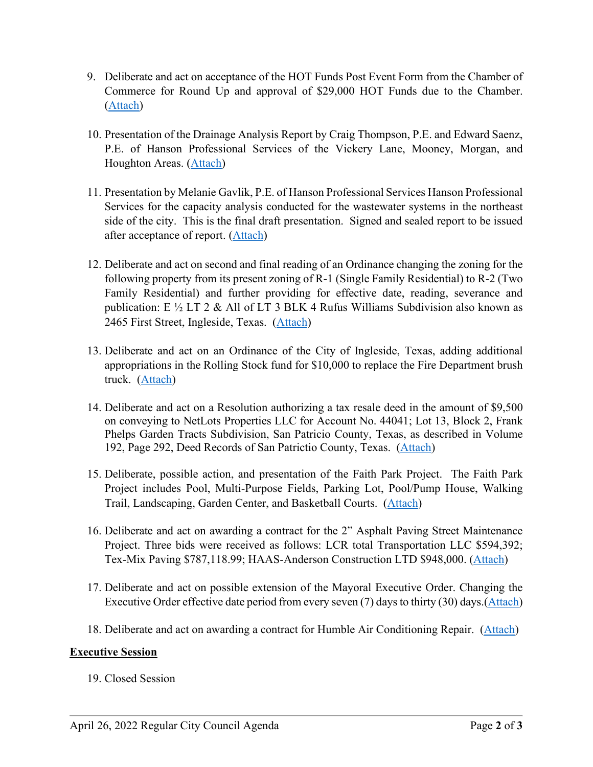- 9. Deliberate and act on acceptance of the HOT Funds Post Event Form from the Chamber of Commerce for Round Up and approval of \$29,000 HOT Funds due to the Chamber. [\(Attach\)](/DocumentCenter/View/749/Item-9-PDF)
- 10. Presentation of the Drainage Analysis Report by Craig Thompson, P.E. and Edward Saenz, P.E. of Hanson Professional Services of the Vickery Lane, Mooney, Morgan, and Houghton Areas. [\(Attach\)](/DocumentCenter/View/750/Item-10-PDF)
- 11. Presentation by Melanie Gavlik, P.E. of Hanson Professional Services Hanson Professional Services for the capacity analysis conducted for the wastewater systems in the northeast side of the city. This is the final draft presentation. Signed and sealed report to be issued after acceptance of report. [\(Attach\)](/DocumentCenter/View/751/Item-11-PDF)
- 12. Deliberate and act on second and final reading of an Ordinance changing the zoning for the following property from its present zoning of R-1 (Single Family Residential) to R-2 (Two Family Residential) and further providing for effective date, reading, severance and publication: E  $\frac{1}{2}$  LT 2 & All of LT 3 BLK 4 Rufus Williams Subdivision also known as 2465 First Street, Ingleside, Texas. [\(Attach\)](/DocumentCenter/View/752/Item-12-PDF)
- 13. Deliberate and act on an Ordinance of the City of Ingleside, Texas, adding additional appropriations in the Rolling Stock fund for \$10,000 to replace the Fire Department brush truck. [\(Attach\)](/DocumentCenter/View/753/Item-13-PDF)
- 14. Deliberate and act on a Resolution authorizing a tax resale deed in the amount of \$9,500 on conveying to NetLots Properties LLC for Account No. 44041; Lot 13, Block 2, Frank Phelps Garden Tracts Subdivision, San Patricio County, Texas, as described in Volume 192, Page 292, Deed Records of San Patrictio County, Texas. [\(Attach\)](/DocumentCenter/View/754/Item-14-PDF)
- 15. Deliberate, possible action, and presentation of the Faith Park Project. The Faith Park Project includes Pool, Multi-Purpose Fields, Parking Lot, Pool/Pump House, Walking Trail, Landscaping, Garden Center, and Basketball Courts. [\(Attach\)](/DocumentCenter/View/755/Item-15-PDF)
- 16. Deliberate and act on awarding a contract for the 2" Asphalt Paving Street Maintenance Project. Three bids were received as follows: LCR total Transportation LLC \$594,392; Tex-Mix Paving \$787,118.99; HAAS-Anderson Construction LTD \$948,000. [\(Attach\)](/DocumentCenter/View/756/Item-16-PDF)
- 17. Deliberate and act on possible extension of the Mayoral Executive Order. Changing the Executive Order effective date period from every seven (7) days to thirty (30) days.[\(Attach\)](/DocumentCenter/View/757/Item-17-PDF)
- 18. Deliberate and act on awarding a contract for Humble Air Conditioning Repair. [\(Attach\)](/DocumentCenter/View/758/Item-18-PDF)

## **Executive Session**

19. Closed Session